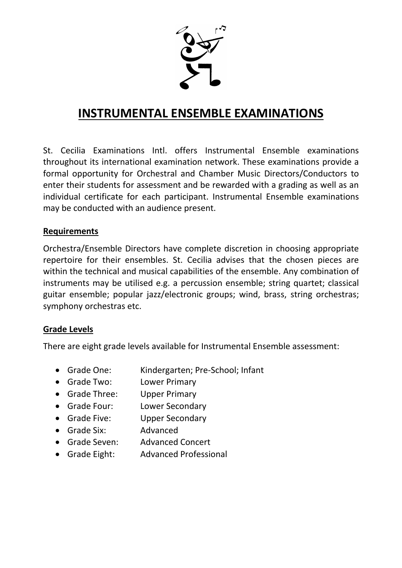

# **INSTRUMENTAL ENSEMBLE EXAMINATIONS**

St. Cecilia Examinations Intl. offers Instrumental Ensemble examinations throughout its international examination network. These examinations provide a formal opportunity for Orchestral and Chamber Music Directors/Conductors to enter their students for assessment and be rewarded with a grading as well as an individual certificate for each participant. Instrumental Ensemble examinations may be conducted with an audience present.

#### **Requirements**

Orchestra/Ensemble Directors have complete discretion in choosing appropriate repertoire for their ensembles. St. Cecilia advises that the chosen pieces are within the technical and musical capabilities of the ensemble. Any combination of instruments may be utilised e.g. a percussion ensemble; string quartet; classical guitar ensemble; popular jazz/electronic groups; wind, brass, string orchestras; symphony orchestras etc.

#### **Grade Levels**

There are eight grade levels available for Instrumental Ensemble assessment:

- Grade One: Kindergarten; Pre-School; Infant
- Grade Two: Lower Primary
- Grade Three: Upper Primary
- Grade Four: Lower Secondary
- Grade Five: Upper Secondary
- Grade Six: Advanced
- Grade Seven: Advanced Concert
- Grade Eight: Advanced Professional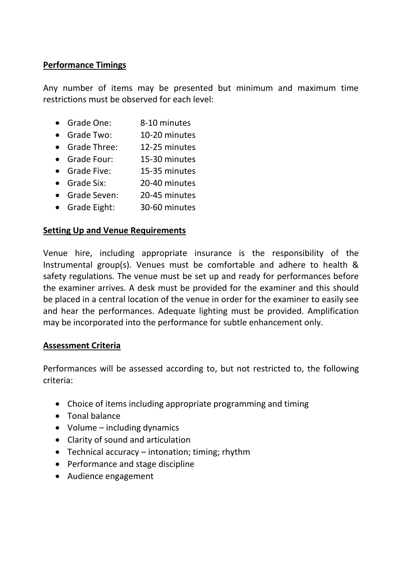# **Performance Timings**

Any number of items may be presented but minimum and maximum time restrictions must be observed for each level:

- Grade One: 8-10 minutes
- Grade Two: 10-20 minutes
- Grade Three: 12-25 minutes
- Grade Four: 15-30 minutes
- Grade Five: 15-35 minutes
- Grade Six: 20-40 minutes
- Grade Seven: 20-45 minutes
- Grade Eight: 30-60 minutes

#### **Setting Up and Venue Requirements**

Venue hire, including appropriate insurance is the responsibility of the Instrumental group(s). Venues must be comfortable and adhere to health & safety regulations. The venue must be set up and ready for performances before the examiner arrives. A desk must be provided for the examiner and this should be placed in a central location of the venue in order for the examiner to easily see and hear the performances. Adequate lighting must be provided. Amplification may be incorporated into the performance for subtle enhancement only.

#### **Assessment Criteria**

Performances will be assessed according to, but not restricted to, the following criteria:

- Choice of items including appropriate programming and timing
- Tonal balance
- Volume including dynamics
- Clarity of sound and articulation
- Technical accuracy intonation; timing; rhythm
- Performance and stage discipline
- Audience engagement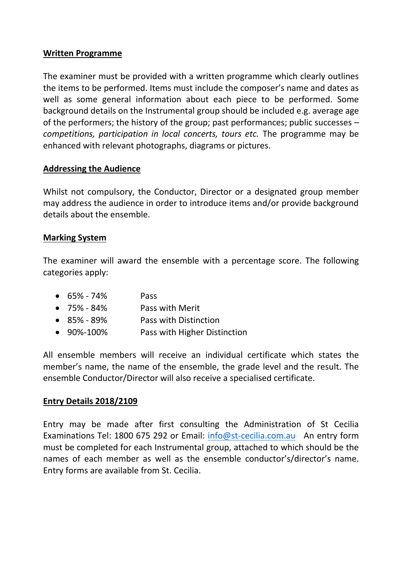#### **Written Programme**

The examiner must be provided with a written programme which clearly outlines the items to be performed. Items must include the composer's name and dates as well as some general information about each piece to be performed. Some background details on the Instrumental group should be included e.g. average age of the performers; the history of the group; past performances; public successes – *competitions, participation in local concerts, tours etc.* The programme may be enhanced with relevant photographs, diagrams or pictures.

# **Addressing the Audience**

Whilst not compulsory, the Conductor, Director or a designated group member may address the audience in order to introduce items and/or provide background details about the ensemble.

# **Marking System**

The examiner will award the ensemble with a percentage score. The following categories apply:

| $\bullet$ 65% - 74% | <b>Pass</b>                  |
|---------------------|------------------------------|
| $\bullet$ 75% - 84% | Pass with Merit              |
| $\bullet$ 85% - 89% | Pass with Distinction        |
| $\bullet$ 90%-100%  | Pass with Higher Distinction |

All ensemble members will receive an individual certificate which states the member's name, the name of the ensemble, the grade level and the result. The ensemble Conductor/Director will also receive a specialised certificate.

# **Entry Details 2018/2109**

Entry may be made after first consulting the Administration of St Cecilia Examinations Tel: 1800 675 292 or Email: [info@st-cecilia.com.au](mailto:info@st-cecilia.com.au) An entry form must be completed for each Instrumental group, attached to which should be the names of each member as well as the ensemble conductor's/director's name. Entry forms are available from St. Cecilia.